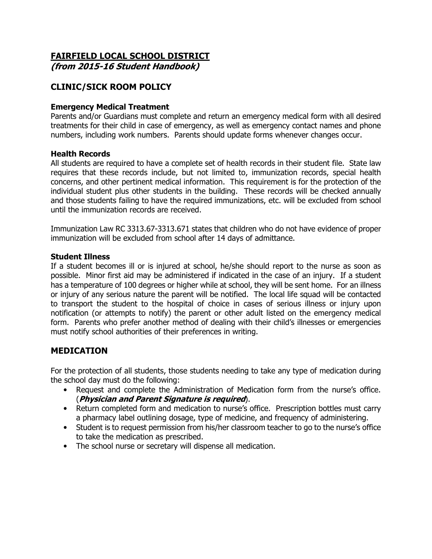# **FAIRFIELD LOCAL SCHOOL DISTRICT**

**(from 2015-16 Student Handbook)**

## **CLINIC/SICK ROOM POLICY**

#### **Emergency Medical Treatment**

Parents and/or Guardians must complete and return an emergency medical form with all desired treatments for their child in case of emergency, as well as emergency contact names and phone numbers, including work numbers. Parents should update forms whenever changes occur.

#### **Health Records**

All students are required to have a complete set of health records in their student file. State law requires that these records include, but not limited to, immunization records, special health concerns, and other pertinent medical information. This requirement is for the protection of the individual student plus other students in the building. These records will be checked annually and those students failing to have the required immunizations, etc. will be excluded from school until the immunization records are received.

Immunization Law RC 3313.67-3313.671 states that children who do not have evidence of proper immunization will be excluded from school after 14 days of admittance.

#### **Student Illness**

If a student becomes ill or is injured at school, he/she should report to the nurse as soon as possible. Minor first aid may be administered if indicated in the case of an injury. If a student has a temperature of 100 degrees or higher while at school, they will be sent home. For an illness or injury of any serious nature the parent will be notified. The local life squad will be contacted to transport the student to the hospital of choice in cases of serious illness or injury upon notification (or attempts to notify) the parent or other adult listed on the emergency medical form. Parents who prefer another method of dealing with their child's illnesses or emergencies must notify school authorities of their preferences in writing.

### **MEDICATION**

For the protection of all students, those students needing to take any type of medication during the school day must do the following:

- Request and complete the Administration of Medication form from the nurse's office. (**Physician and Parent Signature is required**).
- Return completed form and medication to nurse's office. Prescription bottles must carry a pharmacy label outlining dosage, type of medicine, and frequency of administering.
- Student is to request permission from his/her classroom teacher to go to the nurse's office to take the medication as prescribed.
- The school nurse or secretary will dispense all medication.